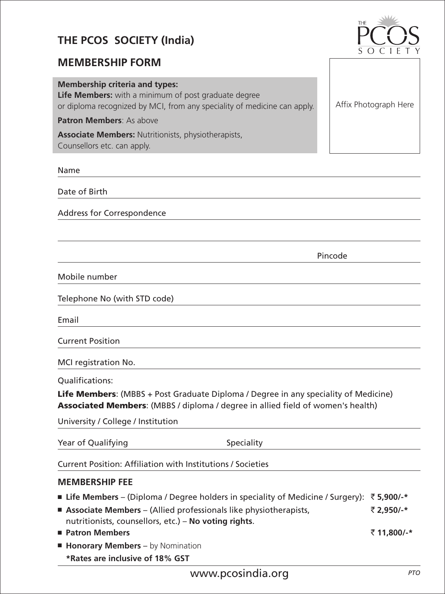# **THE PCOS SOCIETY (India)**

## **MEMBERSHIP FORM**

#### **Membership criteria and types:**

**Life Members:** with a minimum of post graduate degree or diploma recognized by MCI, from any speciality of medicine can apply.

**Patron Members**: As above

**Associate Members:** Nutritionists, physiotherapists, Counsellors etc. can apply.

Name

Date of Birth

Address for Correspondence

Pincode

Mobile number

Telephone No (with STD code)

Email

Current Position

MCI registration No.

Qualifications:

**Life Members**: (MBBS + Post Graduate Diploma / Degree in any speciality of Medicine) **Associated Members**: (MBBS / diploma / degree in allied field of women's health)

University / College / Institution

| Year of Qualifying | Speciality |
|--------------------|------------|
|--------------------|------------|

Current Position: Affiliation with Institutions / Societies

#### **MEMBERSHIP FEE**

- **Life Members** (Diploma / Degree holders in speciality of Medicine / Surgery): ` **5,900/-\***
- **Associate Members** (Allied professionals like physiotherapists, ` **2,950/-\*** nutritionists, counsellors, etc.) – **No voting rights**.
- **Patron Members** ` **11,800/-\***
- **Honorary Members** by Nomination **\*Rates are inclusive of 18% GST**



Affix Photograph Here